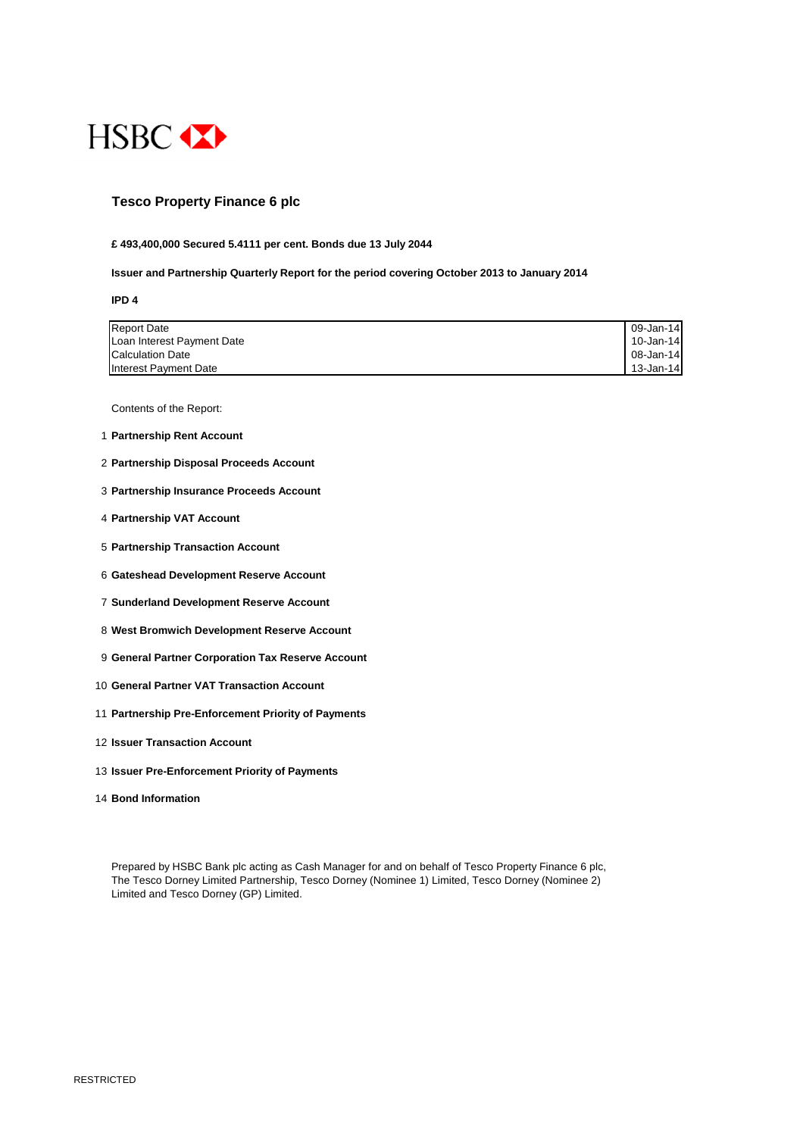

### **Tesco Property Finance 6 plc**

#### **£ 493,400,000 Secured 5.4111 per cent. Bonds due 13 July 2044**

**Issuer and Partnership Quarterly Report for the period covering October 2013 to January 2014**

#### **IPD 4**

| <b>Report Date</b>         | 09-Jan-14 |
|----------------------------|-----------|
| Loan Interest Payment Date | 10-Jan-14 |
| <b>Calculation Date</b>    | 08-Jan-14 |
| Interest Payment Date      | 13-Jan-14 |

Contents of the Report:

- 1 **Partnership Rent Account**
- 2 **Partnership Disposal Proceeds Account**
- 3 **Partnership Insurance Proceeds Account**
- 4 **Partnership VAT Account**
- 5 **Partnership Transaction Account**
- 6 **Gateshead Development Reserve Account**
- 7 **Sunderland Development Reserve Account**
- 8 **West Bromwich Development Reserve Account**
- 9 **General Partner Corporation Tax Reserve Account**
- 10 **General Partner VAT Transaction Account**
- 11 **Partnership Pre-Enforcement Priority of Payments**
- 12 **Issuer Transaction Account**
- 13 **Issuer Pre-Enforcement Priority of Payments**
- 14 **Bond Information**

Prepared by HSBC Bank plc acting as Cash Manager for and on behalf of Tesco Property Finance 6 plc,

The Tesco Dorney Limited Partnership, Tesco Dorney (Nominee 1) Limited, Tesco Dorney (Nominee 2) Limited and Tesco Dorney (GP) Limited.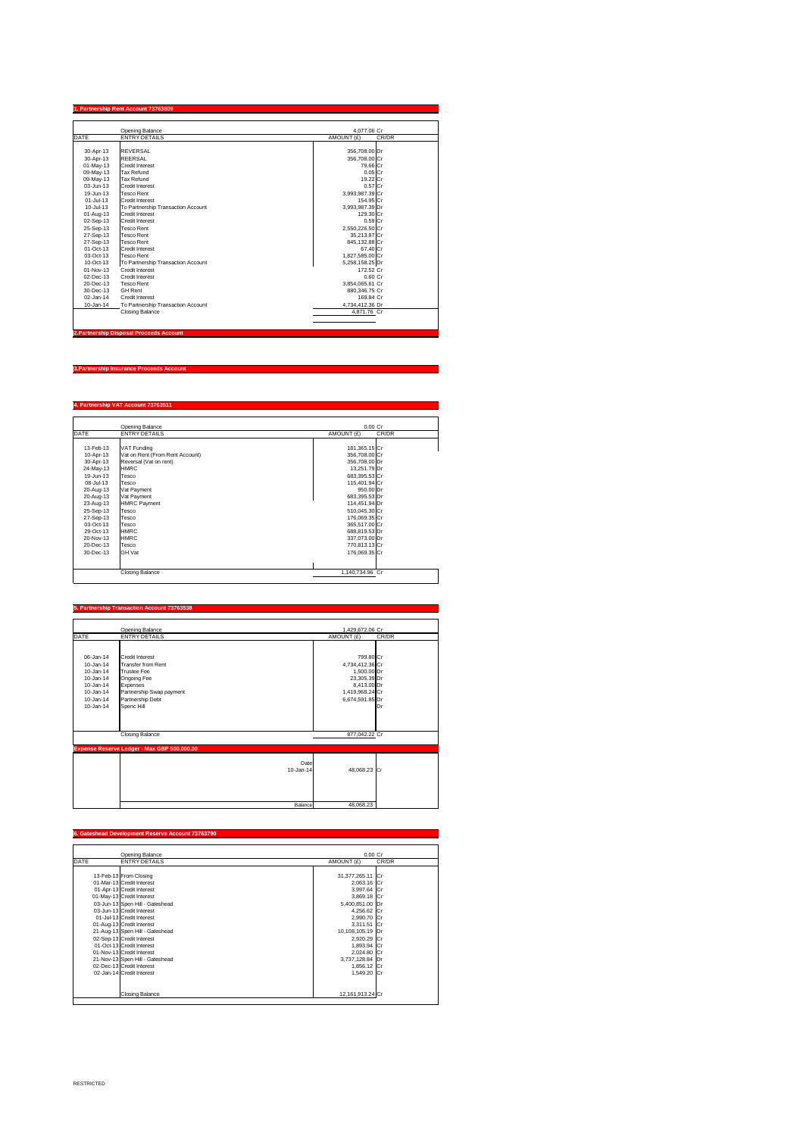#### **1. Partnership Rent Account 73763809**

| <b>DATE</b>  | <b>Opening Balance</b><br><b>ENTRY DETAILS</b> | 4,077.06 Cr<br>AMOUNT (£)<br>CR/DR |
|--------------|------------------------------------------------|------------------------------------|
|              |                                                |                                    |
| 30-Apr-13    | <b>REVERSAL</b>                                | 356,708.00 Dr                      |
| 30-Apr-13    | <b>REERSAL</b>                                 | 356,708.00 Cr                      |
| 01-May-13    | <b>Credit Interest</b>                         | 79.66 Cr                           |
| 09-May-13    | <b>Tax Refund</b>                              | $0.05$ Cr                          |
| 09-May-13    | <b>Tax Refund</b>                              | 19.22 Cr                           |
| 03-Jun-13    | <b>Credit Interest</b>                         | $0.57$ Cr                          |
| 19-Jun-13    | Tesco Rent                                     | 3,993,987.39 Cr                    |
| 01-Jul-13    | <b>Credit Interest</b>                         | 154.95 Cr                          |
| 10-Jul-13    | To Partnership Transaction Account             | 3,993,987.39 Dr                    |
| 01-Aug-13    | <b>Credit Interest</b>                         | 129.30 Cr                          |
| 02-Sep-13    | <b>Credit Interest</b>                         | $0.59$ Cr                          |
| 25-Sep-13    | <b>Tesco Rent</b>                              | 2,550,226.50 Cr                    |
| 27-Sep-13    | <b>Tesco Rent</b>                              | 35,213.87 Cr                       |
| 27-Sep-13    | <b>Tesco Rent</b>                              | 845,132.88 Cr                      |
| 01-Oct-13    | <b>Credit Interest</b>                         | 67.40 Cr                           |
| 03-Oct-13    | <b>Tesco Rent</b>                              | 1,827,585.00 Cr                    |
| 10-Oct-13    | To Partnership Transaction Account             | 5,258,158.25 Dr                    |
| 01-Nov-13    | <b>Credit Interest</b>                         | 172.52 Cr                          |
| 02-Dec-13    | <b>Credit Interest</b>                         | 0.60 Cr                            |
| 20-Dec-13    | <b>Tesco Rent</b>                              | 3,854,065.61 Cr                    |
| 30-Dec-13    | <b>GH Rent</b>                                 | 880,346.75 Cr                      |
| $02$ -Jan-14 | <b>Credit Interest</b>                         | 169.84 Cr                          |
| $10$ -Jan-14 | To Partnership Transaction Account             | 4,734,412.36 Dr                    |
|              | <b>Closing Balance</b>                         | 4,871.76 Cr                        |

**3.Partnership Insurance Proceeds Account**

## **4. Partnership VAT Account 73763511**

Г

|             | <b>Opening Balance</b>          | $0.00$ Cr           |
|-------------|---------------------------------|---------------------|
| <b>DATE</b> | <b>ENTRY DETAILS</b>            | CR/DR<br>AMOUNT (£) |
|             |                                 |                     |
| 13-Feb-13   | <b>VAT Funding</b>              | 181,365.15 Cr       |
| 10-Apr-13   | Vat on Rent (From Rent Account) | 356,708.00 Cr       |
| 30-Apr-13   | Reversal (Vat on rent)          | 356,708.00 Dr       |
| 24-May-13   | <b>HMRC</b>                     | 13,251.79 Dr        |
| 19-Jun-13   | <b>Tesco</b>                    | 683,395.53 Cr       |
| 08-Jul-13   | <b>Tesco</b>                    | 115,401.94 Cr       |
| 20-Aug-13   | Vat Payment                     | 950.00 Dr           |
| 20-Aug-13   | Vat Payment                     | 683,395.53 Dr       |
| 23-Aug-13   | <b>HMRC Payment</b>             | 114,451.94 Dr       |
| 25-Sep-13   | <b>Tesco</b>                    | 510,045.30 Cr       |
| 27-Sep-13   | Tesco                           | 176,069.35 Cr       |
| 03-Oct-13   | Tesco                           | 365,517.00 Cr       |
| 29-Oct-13   | <b>HMRC</b>                     | 688,819.53 Dr       |
| 20-Nov-13   | <b>HMRC</b>                     | 337,073.00 Dr       |
| 20-Dec-13   | Tesco                           | 770,813.13 Cr       |
| 30-Dec-13   | <b>GH Vat</b>                   | 176,069.35 Cr       |
|             |                                 |                     |
|             |                                 |                     |
|             | <b>Closing Balance</b>          | 1,140,734.96 Cr     |

- 12

# **5. Partnership Transaction Account 73763538**

|                                                                                   | <b>Opening Balance</b>                                                                                                           | 1,429,672.06 Cr                                                                                 |       |
|-----------------------------------------------------------------------------------|----------------------------------------------------------------------------------------------------------------------------------|-------------------------------------------------------------------------------------------------|-------|
| <b>DATE</b>                                                                       | <b>ENTRY DETAILS</b>                                                                                                             | AMOUNT (£)                                                                                      | CR/DR |
| 06-Jan-14<br>$10$ -Jan-14<br>10-Jan-14<br>$10 - Jan-14$<br>10-Jan-14<br>10-Jan-14 | <b>Credit Interest</b><br><b>Transfer from Rent</b><br>Trustee Fee<br><b>Ongoing Fee</b><br>Expenses<br>Partnership Swap payment | 799.80 Cr<br>4,734,412.36 Cr<br>$1,500.00$ Dr<br>23,305.39 Dr<br>8,413.00 Dr<br>1,419,968.24 Cr |       |
| $10$ -Jan-14                                                                      | Partnership Debt                                                                                                                 | 6,674,591.85 Dr                                                                                 |       |
| 10-Jan-14                                                                         | Spenc Hill                                                                                                                       |                                                                                                 | Dr    |
|                                                                                   | <b>Closing Balance</b>                                                                                                           | 877,042.22 Cr                                                                                   |       |
|                                                                                   | Expense Reserve Ledger - Max GBP 500,000.00                                                                                      |                                                                                                 |       |
|                                                                                   | $10$ -Jan-14                                                                                                                     | Date<br>48,068.23 Cr                                                                            |       |
|                                                                                   | <b>Balance</b>                                                                                                                   | 48,068.23                                                                                       |       |

# **6. Gateshead Development Reserve Account 73763790**

|             | <b>Opening Balance</b>          | $0.00$ Cr        |       |
|-------------|---------------------------------|------------------|-------|
| <b>DATE</b> | <b>ENTRY DETAILS</b>            | AMOUNT (£)       | CR/DR |
|             |                                 |                  |       |
|             | 13-Feb-13 From Closing          | 31,377,265.11 Cr |       |
|             | 01-Mar-13 Credit Interest       | 2,063.16 Cr      |       |
|             | 01-Apr-13 Credit Interest       | 3,997.64 Cr      |       |
|             | 01-May-13 Credit Interest       | 3,869.18 Cr      |       |
|             | 03-Jun-13 Spen Hill - Gateshead | 5,400,851.00 Dr  |       |
|             | 03-Jun-13 Credit Interest       | 4,256.62 Cr      |       |
|             | 01-Jul-13 Credit Interest       | 2,990.70 Cr      |       |
|             | 01-Aug-13 Credit Interest       | 3,311.51 Cr      |       |
|             | 21-Aug-13 Spen Hill - Gateshead | 10,108,105.19 Dr |       |
|             | 02-Sep-13 Credit Interest       | 2,920.29 Cr      |       |
|             | 01-Oct-13 Credit Interest       | 1,893.94 Cr      |       |
|             | 01-Nov-13 Credit Interest       | 2,024.80 Cr      |       |
|             | 21-Nov-13 Spen Hill - Gateshead | 3,737,128.84 Dr  |       |
|             | 02-Dec-13 Credit Interest       | 1,856.12 Cr      |       |
|             | 02-Jan-14 Credit Interest       | 1,549.20 Cr      |       |
|             |                                 |                  |       |
|             |                                 |                  |       |
|             | <b>Closing Balance</b>          | 12,161,913.24 Cr |       |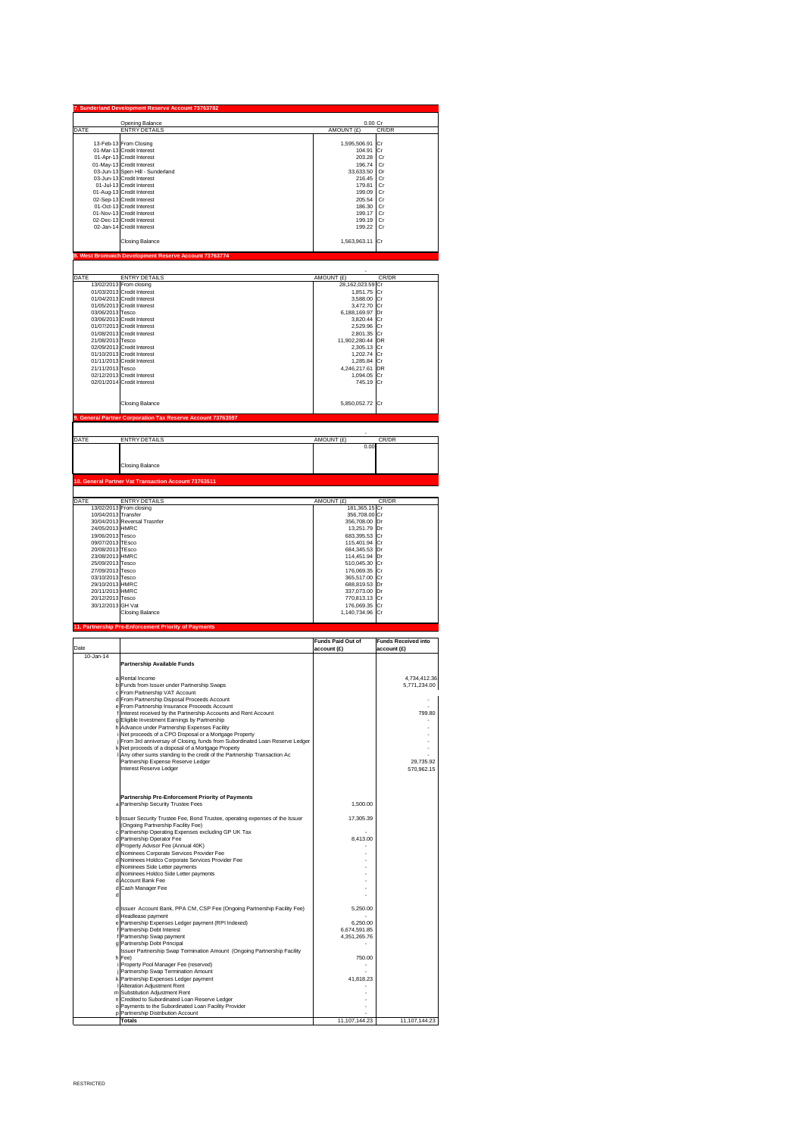|                  | <b>Opening Balance</b>                                      | 0.00 Cr          |       |
|------------------|-------------------------------------------------------------|------------------|-------|
|                  | <b>ENTRY DETAILS</b>                                        | AMOUNT (£)       | CR/DR |
|                  | 13-Feb-13 From Closing                                      | 1,595,506.91 Cr  |       |
|                  | 01-Mar-13 Credit Interest                                   | 104.91 Cr        |       |
|                  |                                                             | 203.28           | Cr    |
|                  | 01-Apr-13 Credit Interest                                   | 196.74           |       |
|                  | 01-May-13 Credit Interest                                   |                  | Cr    |
|                  | 03-Jun-13 Spen Hill - Sunderland                            | 33,633.50        | Dr    |
|                  | 03-Jun-13 Credit Interest                                   | 216.45           | Cr    |
|                  | 01-Jul-13 Credit Interest                                   | 179.81           | Cr    |
|                  | 01-Aug-13 Credit Interest                                   | 199.09           | Cr    |
|                  | 02-Sep-13 Credit Interest                                   | 205.54           | Cr    |
|                  | 01-Oct-13 Credit Interest                                   | 186.30           | Cr    |
|                  | 01-Nov-13 Credit Interest                                   | 199.17           | Cr    |
|                  | 02-Dec-13 Credit Interest                                   | 199.19           | Cr    |
|                  | 02-Jan-14 Credit Interest                                   | 199.22           | Cr    |
|                  | <b>Closing Balance</b>                                      | 1,563,963.11 Cr  |       |
|                  | 8. West Bromwich Development Reserve Account 73763774       |                  |       |
|                  |                                                             |                  |       |
| <b>DATE</b>      | <b>ENTRY DETAILS</b>                                        | AMOUNT (£)       | CR/DR |
|                  | 13/02/2013 From closing                                     | 28,162,023.59 Cr |       |
|                  | 01/03/2013 Credit Interest                                  | 1,851.75 Cr      |       |
|                  | 01/04/2013 Credit Interest                                  | 3,588.00 Cr      |       |
|                  | 01/05/2013 Credit Interest                                  | 3,472.70 Cr      |       |
| 03/06/2013 Tesco |                                                             | 6,188,169.97 Dr  |       |
|                  | 03/06/2013 Credit Interest                                  | 3,820.44 Cr      |       |
|                  | 01/07/2013 Credit Interest                                  | 2,529.96 Cr      |       |
|                  | 01/08/2013 Credit Interest                                  | 2,801.35 Cr      |       |
| 21/08/2013 Tesco |                                                             | 11,902,280.44 DR |       |
|                  |                                                             |                  |       |
|                  |                                                             |                  |       |
|                  | 02/09/2013 Credit Interest                                  | 2,305.13 Cr      |       |
|                  | 01/10/2013 Credit Interest                                  | 1,202.74 Cr      |       |
|                  | 01/11/2013 Credit Interest                                  | 1,285.84 Cr      |       |
| 21/11/2013 Tesco |                                                             | 4,246,217.61 DR  |       |
|                  | 02/12/2013 Credit Interest                                  | 1,094.05 Cr      |       |
|                  | 02/01/2014 Credit Interest                                  | 745.19 Cr        |       |
|                  |                                                             |                  |       |
|                  | <b>Closing Balance</b>                                      | 5,850,052.72 Cr  |       |
|                  | 9. General Partner Corporation Tax Reserve Account 73763597 |                  |       |
|                  |                                                             |                  |       |

0.00

Closing Balance

## **10. General Partner Vat Transaction Account 73763511**

| DATE                                                 | <b>ENTRY DETAILS</b>         | AMOUNT (£)      | CR/DR |
|------------------------------------------------------|------------------------------|-----------------|-------|
|                                                      | 13/02/2013 From closing      | 181,365.15 Cr   |       |
| 10/04/2013 Transfer                                  |                              | 356,708.00 Cr   |       |
|                                                      | 30/04/2013 Reversal Trasnfer | 356,708.00 Dr   |       |
| 24/05/2013 HMRC                                      |                              | 13,251.79 Dr    |       |
| 19/06/2013 Tesco                                     |                              | 683,395.53 Cr   |       |
| 09/07/2013 TEsco                                     |                              | 115,401.94 Cr   |       |
| 20/08/2013 TEsco                                     |                              | 684,345.53 Dr   |       |
| 23/08/2013 HMRC                                      |                              | 114,451.94 Dr   |       |
| 25/09/2013 Tesco                                     |                              | 510,045.30 Cr   |       |
| 27/09/2013 Tesco                                     |                              | 176,069.35 Cr   |       |
| 03/10/2013 Tesco                                     |                              | 365,517.00 Cr   |       |
| 29/10/2013 HMRC                                      |                              | 688,819.53 Dr   |       |
| 20/11/2013 HMRC                                      |                              | 337,073.00 Dr   |       |
| 20/12/2013 Tesco                                     |                              | 770,813.13 Cr   |       |
| 30/12/2013 GH Vat                                    |                              | 176,069.35 Cr   |       |
|                                                      | <b>Closing Balance</b>       | 1,140,734.96 Cr |       |
|                                                      |                              |                 |       |
| 11. Partnership Pre-Enforcement Priority of Payments |                              |                 |       |

| Date      |                                                                                                          | <b>Funds Paid Out of</b><br>account(E) | <b>Funds Received into</b><br>account(E) |
|-----------|----------------------------------------------------------------------------------------------------------|----------------------------------------|------------------------------------------|
| 10-Jan-14 |                                                                                                          |                                        |                                          |
|           | <b>Partnership Available Funds</b>                                                                       |                                        |                                          |
|           |                                                                                                          |                                        |                                          |
|           | a Rental Income                                                                                          |                                        | 4,734,412.36                             |
|           | b Funds from Issuer under Partnership Swaps                                                              |                                        | 5,771,234.00                             |
|           | c From Partnership VAT Account                                                                           |                                        |                                          |
|           | d From Partnership Disposal Proceeds Account                                                             |                                        |                                          |
|           | e From Partnership Insurance Proceeds Account                                                            |                                        |                                          |
|           | Interest received by the Partnership Accounts and Rent Account                                           |                                        | 799.80                                   |
|           | g Eligible Investment Earnings by Partnership                                                            |                                        |                                          |
|           | h Advance under Partnership Expenses Facility<br>i Net proceeds of a CPO Disposal or a Mortgage Property |                                        |                                          |
|           | j From 3rd anniversay of Closing, funds from Subordinated Loan Reserve Ledger                            |                                        |                                          |
|           | k Net proceeds of a disposal of a Mortgage Property                                                      |                                        |                                          |
|           | I Any other sums standing to the credit of the Partnership Transaction Ac                                |                                        |                                          |
|           | Partnership Expense Reserve Ledger                                                                       |                                        | 29,735.92                                |
|           | Interest Reserve Ledger                                                                                  |                                        | 570,962.15                               |
|           |                                                                                                          |                                        |                                          |
|           | <b>Partnership Pre-Enforcement Priority of Payments</b>                                                  |                                        |                                          |
|           | a Partnership Security Trustee Fees                                                                      | 1,500.00                               |                                          |
|           |                                                                                                          |                                        |                                          |
|           | b Issuer Security Trustee Fee, Bond Trustee, operating expenses of the Issuer                            | 17,305.39                              |                                          |
|           | (Ongoing Partnership Facility Fee)                                                                       |                                        |                                          |
|           | c Partnership Operating Expenses excluding GP UK Tax<br>d Partnership Operator Fee                       | 8,413.00                               |                                          |
|           | d Property Advisor Fee (Annual 40K)                                                                      |                                        |                                          |
|           | d Nominees Corporate Services Provider Fee                                                               |                                        |                                          |
|           | d Nominees Holdco Corporate Services Provider Fee                                                        |                                        |                                          |
|           | d Nominees Side Letter payments                                                                          |                                        |                                          |
|           | d Nominees Holdco Side Letter payments                                                                   |                                        |                                          |
|           | d Account Bank Fee                                                                                       |                                        |                                          |
|           | d Cash Manager Fee                                                                                       |                                        |                                          |
|           |                                                                                                          |                                        |                                          |
|           |                                                                                                          |                                        |                                          |

| d Issuer Account Bank, PPA CM, CSP Fee (Ongoing Partnership Facility Fee) | 5,250.00      |               |
|---------------------------------------------------------------------------|---------------|---------------|
|                                                                           |               |               |
| d Headlease payment                                                       |               |               |
| e Partnership Expenses Ledger payment (RPI Indexed)                       | 6,250.00      |               |
| f Partnership Debt Interest                                               | 6,674,591.85  |               |
| f Partnership Swap payment                                                | 4,351,265.76  |               |
| g Partnership Debt Principal                                              |               |               |
| Issuer Partnership Swap Termination Amount (Ongoing Partnership Facility  |               |               |
| $h$ Fee)                                                                  | 750.00        |               |
| i Property Pool Manager Fee (reserved)                                    |               |               |
| Partnership Swap Termination Amount                                       |               |               |
| k Partnership Expenses Ledger payment                                     | 41,818.23     |               |
| <b>I</b> AIteration Adjustment Rent                                       |               |               |
| m Substitution Adjustment Rent                                            |               |               |
| n Credited to Subordinated Loan Reserve Ledger                            |               |               |
| o Payments to the Subordinated Loan Facility Provider                     |               |               |
| p   Partnership Distribution Account                                      |               |               |
| Totals                                                                    | 11,107,144.23 | 11,107,144.23 |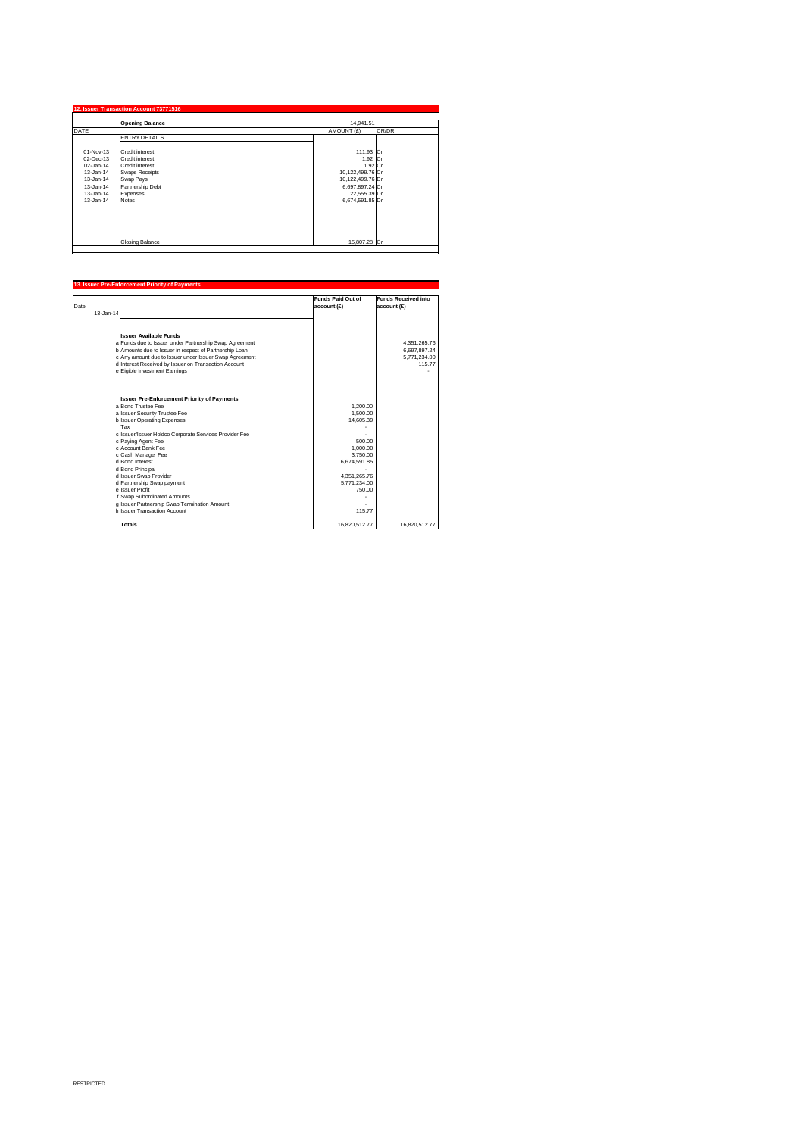|               | <b>Opening Balance</b> | 14,941.51           |  |
|---------------|------------------------|---------------------|--|
| <b>DATE</b>   |                        | CR/DR<br>AMOUNT (£) |  |
|               | <b>ENTRY DETAILS</b>   |                     |  |
| 01-Nov-13     | <b>Credit interest</b> | 111.93 Cr           |  |
| 02-Dec-13     | <b>Credit interest</b> | 1.92 $ Cr$          |  |
| 02-Jan-14     | <b>Credit interest</b> | $1.92$ Cr           |  |
| $13 - Jan-14$ | <b>Swaps Receipts</b>  | 10,122,499.76 Cr    |  |
| $13 - Jan-14$ | <b>Swap Pays</b>       | 10,122,499.76 Dr    |  |
| 13-Jan-14     | Partnership Debt       | 6,697,897.24 Cr     |  |
| $13 - Jan-14$ | Expenses               | 22,555.39 Dr        |  |
| $13 - Jan-14$ | <b>Notes</b>           | 6,674,591.85 Dr     |  |
|               |                        |                     |  |
|               |                        |                     |  |
|               |                        |                     |  |
|               | <b>Closing Balance</b> | 15,807.28 Cr        |  |

## **13. Issuer Pre-Enforcement Priority of Payments**

|              |                                                        | <b>Funds Paid Out of</b> | <b>Funds Received into</b> |
|--------------|--------------------------------------------------------|--------------------------|----------------------------|
| Date         |                                                        | account(E)               | account(E)                 |
| $13$ -Jan-14 |                                                        |                          |                            |
|              |                                                        |                          |                            |
|              |                                                        |                          |                            |
|              | <b>Issuer Available Funds</b>                          |                          |                            |
|              | a Funds due to Issuer under Partnership Swap Agreement |                          | 4,351,265.76               |
|              | b Amounts due to Issuer in respect of Partnership Loan |                          | 6,697,897.24               |
|              | c Any amount due to Issuer under Issuer Swap Agreement |                          | 5,771,234.00               |
|              | d Interest Received by Issuer on Transaction Account   |                          | 115.77                     |
|              | e Eigible Investment Earnings                          |                          |                            |
|              |                                                        |                          |                            |
|              |                                                        |                          |                            |
|              | <b>Issuer Pre-Enforcement Priority of Payments</b>     |                          |                            |
|              | a Bond Trustee Fee                                     | 1,200.00                 |                            |
|              | a Issuer Security Trustee Fee                          | 1,500.00                 |                            |
|              | b Issuer Operating Expenses                            | 14,605.39                |                            |
|              | Tax                                                    |                          |                            |
|              | c Issuer/Issuer Holdco Corporate Services Provider Fee |                          |                            |
|              | c Paying Agent Fee                                     | 500.00                   |                            |
|              | c Account Bank Fee                                     | 1,000.00                 |                            |
|              | c Cash Manager Fee                                     | 3,750.00                 |                            |
|              | d Bond Interest                                        | 6,674,591.85             |                            |
|              | d Bond Principal                                       |                          |                            |
|              | d Issuer Swap Provider                                 | 4,351,265.76             |                            |
|              | d Partnership Swap payment                             | 5,771,234.00             |                            |
|              | el Issuer Profit                                       | 750.00                   |                            |
|              | f Swap Subordinated Amounts                            |                          |                            |
|              | g Issuer Partnership Swap Termination Amount           |                          |                            |
|              | h Issuer Transaction Account                           | 115.77                   |                            |
|              | <b>Totals</b>                                          | 16,820,512.77            | 16,820,512.77              |